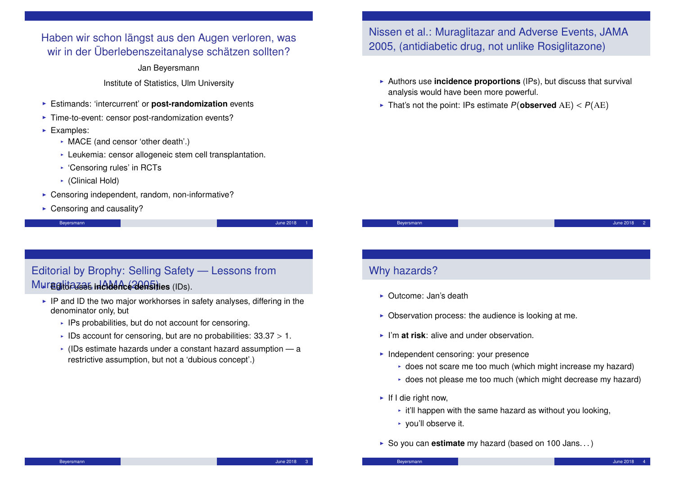Haben wir schon längst aus den Augen verloren, was wir in der Überlebenszeitanalyse schätzen sollten?

Jan Beyersmann

Institute of Statistics, Ulm University

- **Estimands: 'intercurrent' or post-randomization** events
- $\blacktriangleright$  Time-to-event: censor post-randomization events?
- $\blacktriangleright$  Examples:
	- $\triangleright$  MACE (and censor 'other death'.)
	- $\blacktriangleright$  Leukemia: censor allogeneic stem cell transplantation.
	- $\cdot$  'Censoring rules' in RCTs
	- $\triangleright$  (Clinical Hold)
- $\triangleright$  Censoring independent, random, non-informative?
- $\triangleright$  Censoring and causality?

```
Beyersmann June 2018 - 19 June 2018 - 19 June 2018 - 19 June 2018 - 19 June 2018 - 19 June 2018 - 19 June 2018
```
### Editorial by Brophy: Selling Safety — Lessons from Muraglitazas incidence alas iles (IDs).

- $\blacktriangleright$  IP and ID the two major workhorses in safety analyses, differing in the denominator only, but
	- $\cdot$  IPs probabilities, but do not account for censoring.
	- IDs account for censoring, but are no probabilities:  $33.37 > 1$ .
	- $\cdot$  (IDs estimate hazards under a constant hazard assumption  $-$  a restrictive assumption, but not a 'dubious concept'.)

### Nissen et al.: Muraglitazar and Adverse Events, JAMA 2005, (antidiabetic drug, not unlike Rosiglitazone)

- Authors use **incidence proportions** (IPs), but discuss that survival analysis would have been more powerful.
- In That's not the point: IPs estimate  $P(\text{observed AE}) < P(AE)$

Beyersmann June 2018 - 2018 - 2019 Beyersmann June 2018 - 2019 Beyersmann June 2018 - 2019

### Why hazards?

- ▶ Outcome: Jan's death
- $\triangleright$  Observation process: the audience is looking at me.
- $\blacktriangleright$  I'm **at risk**: alive and under observation.
- $\blacktriangleright$  Independent censoring: your presence
	- $\rightarrow$  does not scare me too much (which might increase my hazard)
	- $\rightarrow$  does not please me too much (which might decrease my hazard)
- $\blacktriangleright$  If I die right now,
	- $\cdot$  it'll happen with the same hazard as without you looking,
	- $\triangleright$  you'll observe it.
- ▶ So you can **estimate** my hazard (based on 100 Jans...)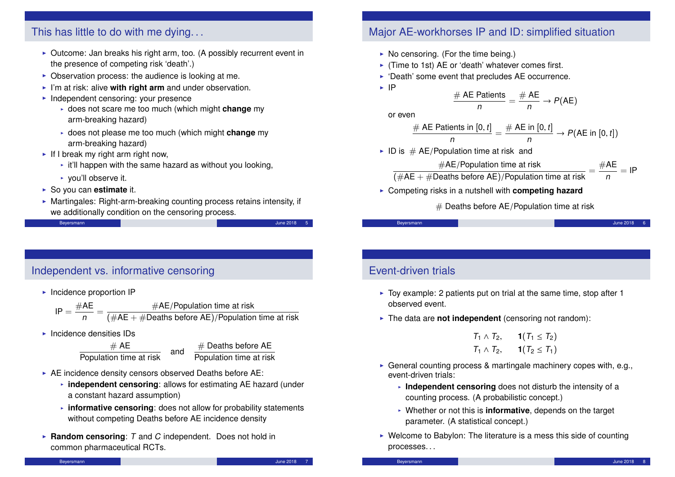

### Independent vs. informative censoring

This has little to do with me dying. . .

 $\blacktriangleright$  Incidence proportion IP

$$
IP = \frac{\#AE}{n} = \frac{\#AE/Population \ time \ at \ risk}{(\#AE + \#Deaths \ before \ AE)/Population \ time \ at \ risk}
$$

 $\blacktriangleright$  Incidence densities IDs

 $\frac{\# \text{ AE}}{\text{Population time at risk}}$  and  $\frac{\# \text{ Deaths before AE}}{\text{Population time at risk}}$ 

- $\triangleright$  AE incidence density censors observed Deaths before AE:
	- **independent censoring**: allows for estimating AE hazard (under a constant hazard assumption)
	- $\cdot$  informative censoring: does not allow for probability statements without competing Deaths before AE incidence density
- ▶ Random censoring: T and C independent. Does not hold in common pharmaceutical RCTs.

### Major AE-workhorses IP and ID: simplified situation

- $\triangleright$  (Time to 1st) AE or 'death' whatever comes first.
- $\triangleright$  'Death' some event that precludes AE occurrence.

$$
\frac{AE \text{ Paulents}}{n} = \frac{\# \text{ AE}}{n} \rightarrow P(\text{AE})
$$

$$
\frac{\# \text{ AE Patients in }[0, t]}{n} = \frac{\# \text{ AE in }[0, t]}{n} \rightarrow P(\text{AE in }[0, t])
$$

$$
\frac{\text{AE/Population time at risk}}{1} = \frac{\# \text{AE}}{1} = \text{IP}
$$

#Deaths before AE)/Population time at risk 
$$
^-
$$
 n

**EX Competing risks in a nutshell with competing hazard** 

 $#$  Deaths before AE/Population time at risk

### Event-driven trials

- $\triangleright$  Toy example: 2 patients put on trial at the same time, stop after 1 observed event.
- I The data are **not independent** (censoring not random):

 $T_1 \wedge T_2$ , **1**( $T_1 \le T_2$ )  $T_1 \wedge T_2$ , **1**( $T_2 \le T_1$ )

- General counting process & martingale machinery copes with, e.g., event-driven trials:
	- **Independent censoring** does not disturb the intensity of a counting process. (A probabilistic concept.)
	- ► Whether or not this is **informative**, depends on the target parameter. (A statistical concept.)
- $\triangleright$  Welcome to Babylon: The literature is a mess this side of counting processes. . .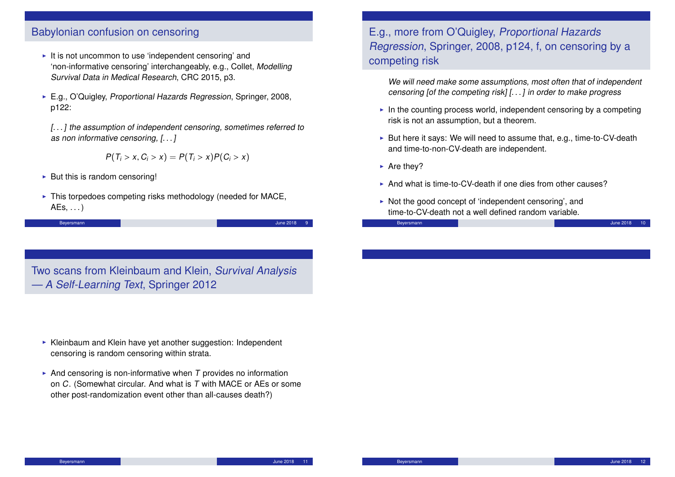### Babylonian confusion on censoring

- $\blacktriangleright$  It is not uncommon to use 'independent censoring' and 'non-informative censoring' interchangeably, e.g., Collet, Modelling Survival Data in Medical Research, CRC 2015, p3.
- ► E.g., O'Quigley, Proportional Hazards Regression, Springer, 2008, p122:

[...] the assumption of independent censoring, sometimes referred to as non informative censoring, [. . . ]

$$
P(T_i > x, C_i > x) = P(T_i > x)P(C_i > x)
$$

- $\triangleright$  But this is random censoring!
- $\triangleright$  This torpedoes competing risks methodology (needed for MACE,  $AEs, \ldots$ )

Beyersmann June 2018 - Beyersmann June 2018 - Beyersmann June 2018 - Beyersmann June 2018 - 9

Two scans from Kleinbaum and Klein, Survival Analysis — A Self-Learning Text, Springer 2012

- $\triangleright$  Kleinbaum and Klein have yet another suggestion: Independent censoring is random censoring within strata.
- And censoring is non-informative when  $T$  provides no information on C. (Somewhat circular. And what is T with MACE or AEs or some other post-randomization event other than all-causes death?)

### E.g., more from O'Quigley, Proportional Hazards Regression, Springer, 2008, p124, f, on censoring by a competing risk

We will need make some assumptions, most often that of independent censoring [of the competing risk] [. . . ] in order to make progress

- $\blacktriangleright$  In the counting process world, independent censoring by a competing risk is not an assumption, but a theorem.
- $\triangleright$  But here it says: We will need to assume that, e.g., time-to-CV-death and time-to-non-CV-death are independent.
- $\triangleright$  Are they?
- And what is time-to-CV-death if one dies from other causes?
- $\triangleright$  Not the good concept of 'independent censoring', and time-to-CV-death not a well defined random variable.

Beyersmann June 2018 - Die Beyersmann June 2018 - Die Beyersmann June 2018 - 10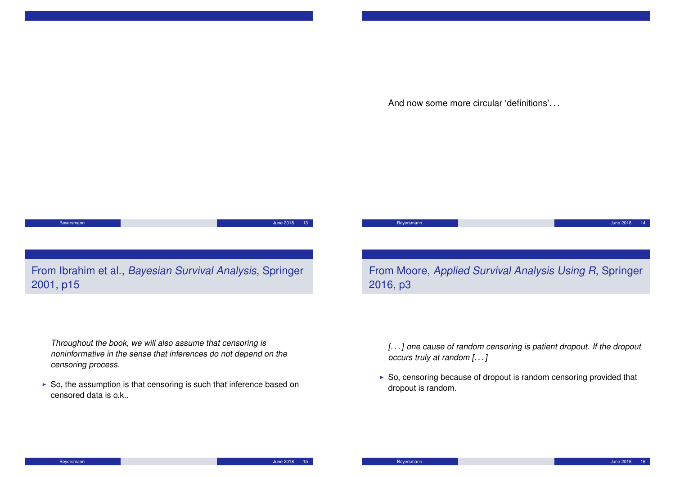And now some more circular 'definitions'. . .

# **Beyersmann** June 2018 13

## From Ibrahim et al., Bayesian Survival Analysis, Springer 2001, p15

From Moore, Applied Survival Analysis Using R, Springer 2016, p3

**Beyersmann** June 2018 14: The Second Community of the Second Community of the Second Community of the Second Community of the Second Community of the Second Community of the Second Community of the Second Community of the

Throughout the book, we will also assume that censoring is noninformative in the sense that inferences do not depend on the censoring process.

 $\triangleright$  So, the assumption is that censoring is such that inference based on censored data is o.k..

[...] one cause of random censoring is patient dropout. If the dropout occurs truly at random [. . . ]

 $\triangleright$  So, censoring because of dropout is random censoring provided that dropout is random.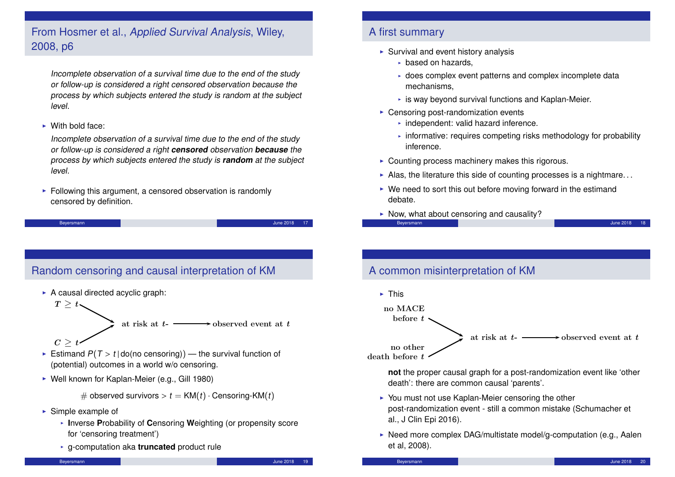### From Hosmer et al., Applied Survival Analysis, Wiley, 2008, p6

Incomplete observation of a survival time due to the end of the study or follow-up is considered a right censored observation because the process by which subjects entered the study is random at the subject level.

 $\blacktriangleright$  With bold face:

Incomplete observation of a survival time due to the end of the study or follow-up is considered a right **censored** observation **because** the process by which subjects entered the study is **random** at the subject level.

 $\triangleright$  Following this argument, a censored observation is randomly censored by definition.

Beyersmann June 2018 17

### Random censoring and causal interpretation of KM

- $\triangleright$  A causal directed acyclic graph:
	- $T \geq t$ at risk at  $t$ - $\longrightarrow$  observed event at  $t$
	- $C \geq$
- Estimand  $P(T > t | do (no censoring))$  the survival function of (potential) outcomes in a world w/o censoring.
- $\triangleright$  Well known for Kaplan-Meier (e.g., Gill 1980)

# observed survivors  $> t = KM(t) \cdot$  Censoring-KM(t)

- $\blacktriangleright$  Simple example of
	- **I**nverse Probability of Censoring Weighting (or propensity score for 'censoring treatment')
	- <sup>I</sup> g-computation aka **truncated** product rule

### Beyersmann June 2018 - 19 June 2018 - 19 June 2018 - 19 June 2018 - 19 June 2018 - 19 June 2018 - 19 June 2018

### A first summary

- $\triangleright$  Survival and event history analysis
	- $\triangleright$  based on hazards.
	- $\bullet$  does complex event patterns and complex incomplete data mechanisms,
	- $\cdot$  is way beyond survival functions and Kaplan-Meier.
- $\triangleright$  Censoring post-randomization events
	- $\cdot$  independent: valid hazard inference.
	- $\cdot$  informative: requires competing risks methodology for probability inference.
- $\triangleright$  Counting process machinery makes this rigorous.
- Alas, the literature this side of counting processes is a nightmare...
- $\triangleright$  We need to sort this out before moving forward in the estimand debate.
- $\triangleright$  Now, what about censoring and causality?

Beyersmann June 2018 - In the Second Library of the Second Library of the Second Library of the Second Library

### A common misinterpretation of KM



death before  $t$ 

**not** the proper causal graph for a post-randomization event like 'other death': there are common causal 'parents'.

- $\triangleright$  You must not use Kaplan-Meier censoring the other post-randomization event - still a common mistake (Schumacher et al., J Clin Epi 2016).
- $\triangleright$  Need more complex DAG/multistate model/g-computation (e.g., Aalen et al, 2008).